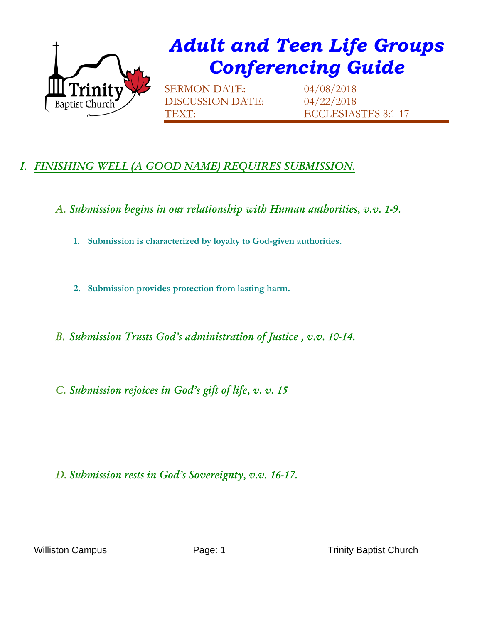

## *Adult and Teen Life Groups Conferencing Guide*

SERMON DATE: 04/08/2018 DISCUSSION DATE: 04/22/2018

TEXT: ECCLESIASTES 8:1-17

## *I. FINISHING WELL (A GOOD NAME) REQUIRES SUBMISSION.*

*A. Submission begins in our relationship with Human authorities, v.v. 1-9.*

**1. Submission is characterized by loyalty to God-given authorities.** 

**2. Submission provides protection from lasting harm.** 

*B. Submission Trusts God's administration of Justice , v.v. 10-14.*

*C. Submission rejoices in God's gift of life, v. v. 15*

## *D. Submission rests in God's Sovereignty, v.v. 16-17.*

Williston Campus **Page: 1** Page: 1 Trinity Baptist Church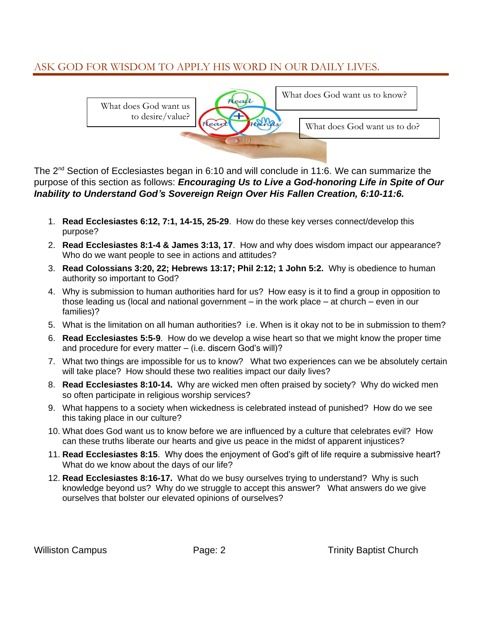## ASK GOD FOR WISDOM TO APPLY HIS WORD IN OUR DAILY LIVES.



The 2<sup>nd</sup> Section of Ecclesiastes began in 6:10 and will conclude in 11:6. We can summarize the purpose of this section as follows: *Encouraging Us to Live a God-honoring Life in Spite of Our Inability to Understand God's Sovereign Reign Over His Fallen Creation, 6:10-11:6.*

- 1. **Read Ecclesiastes 6:12, 7:1, 14-15, 25-29**. How do these key verses connect/develop this purpose?
- 2. **Read Ecclesiastes 8:1-4 & James 3:13, 17**. How and why does wisdom impact our appearance? Who do we want people to see in actions and attitudes?
- 3. **Read Colossians 3:20, 22; Hebrews 13:17; Phil 2:12; 1 John 5:2.** Why is obedience to human authority so important to God?
- 4. Why is submission to human authorities hard for us? How easy is it to find a group in opposition to those leading us (local and national government  $-$  in the work place  $-$  at church  $-$  even in our families)?
- 5. What is the limitation on all human authorities? i.e. When is it okay not to be in submission to them?
- 6. **Read Ecclesiastes 5:5-9**. How do we develop a wise heart so that we might know the proper time and procedure for every matter – (i.e. discern God's will)?
- 7. What two things are impossible for us to know? What two experiences can we be absolutely certain will take place? How should these two realities impact our daily lives?
- 8. **Read Ecclesiastes 8:10-14.** Why are wicked men often praised by society? Why do wicked men so often participate in religious worship services?
- 9. What happens to a society when wickedness is celebrated instead of punished? How do we see this taking place in our culture?
- 10. What does God want us to know before we are influenced by a culture that celebrates evil? How can these truths liberate our hearts and give us peace in the midst of apparent injustices?
- 11. **Read Ecclesiastes 8:15**. Why does the enjoyment of God's gift of life require a submissive heart? What do we know about the days of our life?
- 12. **Read Ecclesiastes 8:16-17.** What do we busy ourselves trying to understand? Why is such knowledge beyond us? Why do we struggle to accept this answer? What answers do we give ourselves that bolster our elevated opinions of ourselves?